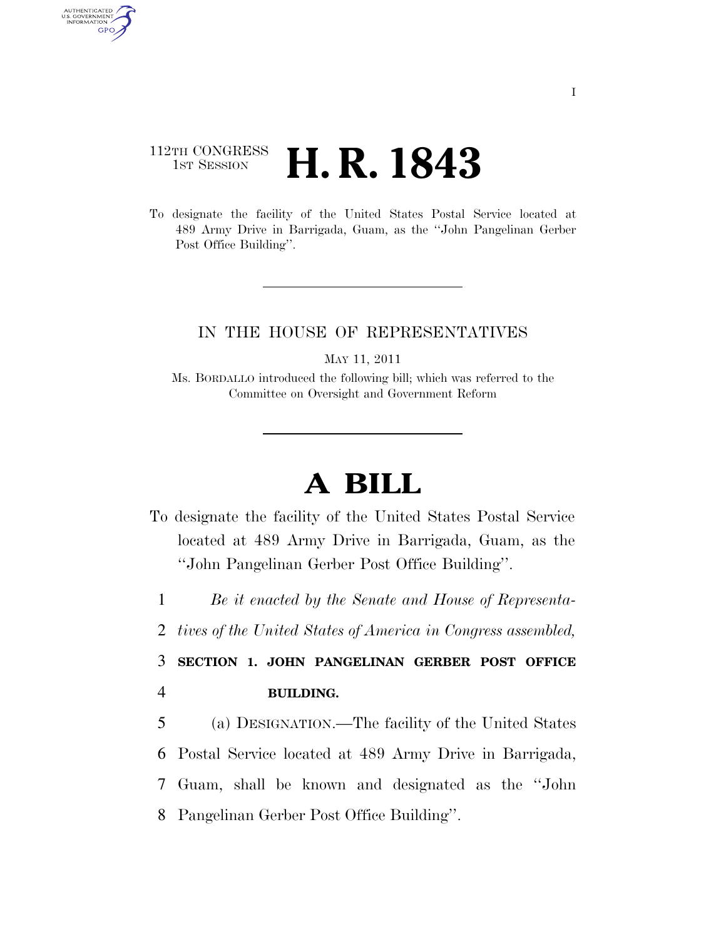## 112TH CONGRESS <sup>TH CONGRESS</sup> **H. R. 1843**

AUTHENTICATED<br>U.S. GOVERNMENT<br>INFORMATION GPO

> To designate the facility of the United States Postal Service located at 489 Army Drive in Barrigada, Guam, as the ''John Pangelinan Gerber Post Office Building''.

## IN THE HOUSE OF REPRESENTATIVES

MAY 11, 2011

Ms. BORDALLO introduced the following bill; which was referred to the Committee on Oversight and Government Reform

## **A BILL**

To designate the facility of the United States Postal Service located at 489 Army Drive in Barrigada, Guam, as the ''John Pangelinan Gerber Post Office Building''.

1 *Be it enacted by the Senate and House of Representa-*

2 *tives of the United States of America in Congress assembled,* 

3 **SECTION 1. JOHN PANGELINAN GERBER POST OFFICE**  4 **BUILDING.** 

 (a) DESIGNATION.—The facility of the United States Postal Service located at 489 Army Drive in Barrigada, Guam, shall be known and designated as the ''John Pangelinan Gerber Post Office Building''.